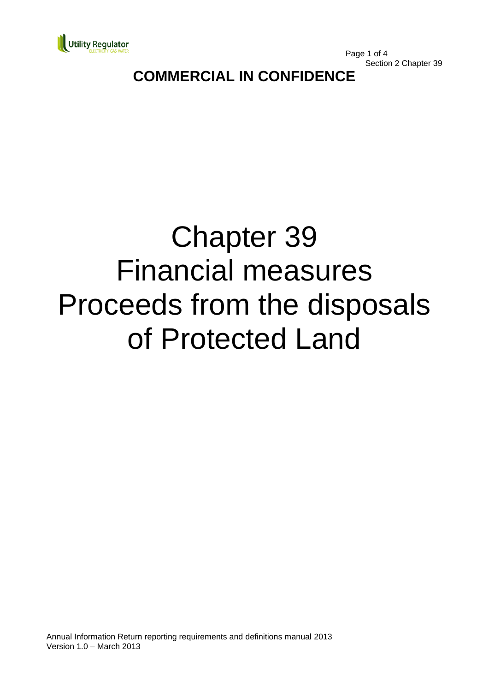

Page 1 of 4 Section 2 Chapter 39

## **COMMERCIAL IN CONFIDENCE**

# Chapter 39 Financial measures Proceeds from the disposals of Protected Land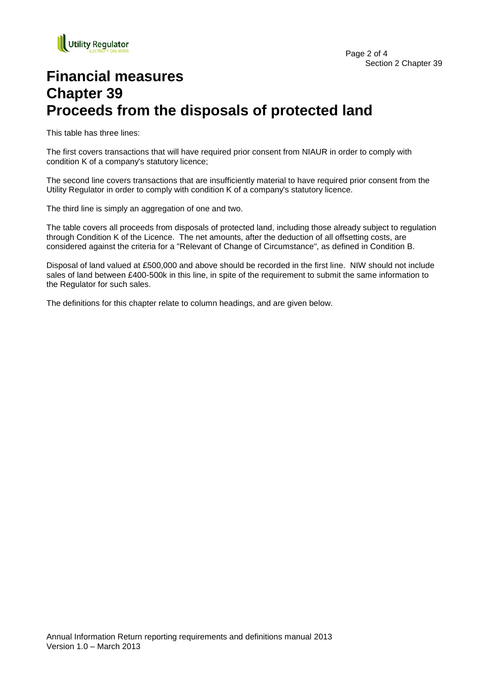

## **Financial measures Chapter 39 Proceeds from the disposals of protected land**

This table has three lines:

The first covers transactions that will have required prior consent from NIAUR in order to comply with condition K of a company's statutory licence;

The second line covers transactions that are insufficiently material to have required prior consent from the Utility Regulator in order to comply with condition K of a company's statutory licence.

The third line is simply an aggregation of one and two.

The table covers all proceeds from disposals of protected land, including those already subject to regulation through Condition K of the Licence. The net amounts, after the deduction of all offsetting costs, are considered against the criteria for a "Relevant of Change of Circumstance", as defined in Condition B.

Disposal of land valued at £500,000 and above should be recorded in the first line. NIW should not include sales of land between £400-500k in this line, in spite of the requirement to submit the same information to the Regulator for such sales.

The definitions for this chapter relate to column headings, and are given below.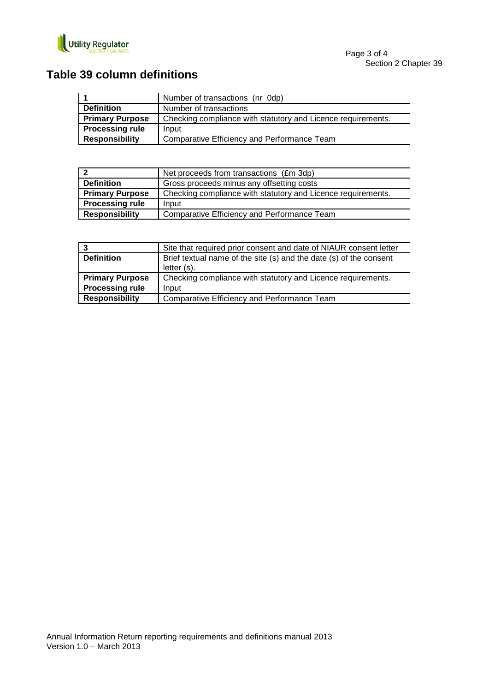

### **Table 39 column definitions**

|                        | Number of transactions (nr 0dp)                              |
|------------------------|--------------------------------------------------------------|
| <b>Definition</b>      | Number of transactions                                       |
| <b>Primary Purpose</b> | Checking compliance with statutory and Licence requirements. |
| <b>Processing rule</b> | Input                                                        |
| <b>Responsibility</b>  | Comparative Efficiency and Performance Team                  |

|                        | Net proceeds from transactions (£m 3dp)                      |
|------------------------|--------------------------------------------------------------|
| <b>Definition</b>      | Gross proceeds minus any offsetting costs                    |
| <b>Primary Purpose</b> | Checking compliance with statutory and Licence requirements. |
| <b>Processing rule</b> | Input                                                        |
| <b>Responsibility</b>  | Comparative Efficiency and Performance Team                  |

| -3                     | Site that required prior consent and date of NIAUR consent letter  |
|------------------------|--------------------------------------------------------------------|
| <b>Definition</b>      | Brief textual name of the site (s) and the date (s) of the consent |
|                        | letter $(s)$ .                                                     |
| <b>Primary Purpose</b> | Checking compliance with statutory and Licence requirements.       |
| <b>Processing rule</b> | Input                                                              |
| <b>Responsibility</b>  | Comparative Efficiency and Performance Team                        |